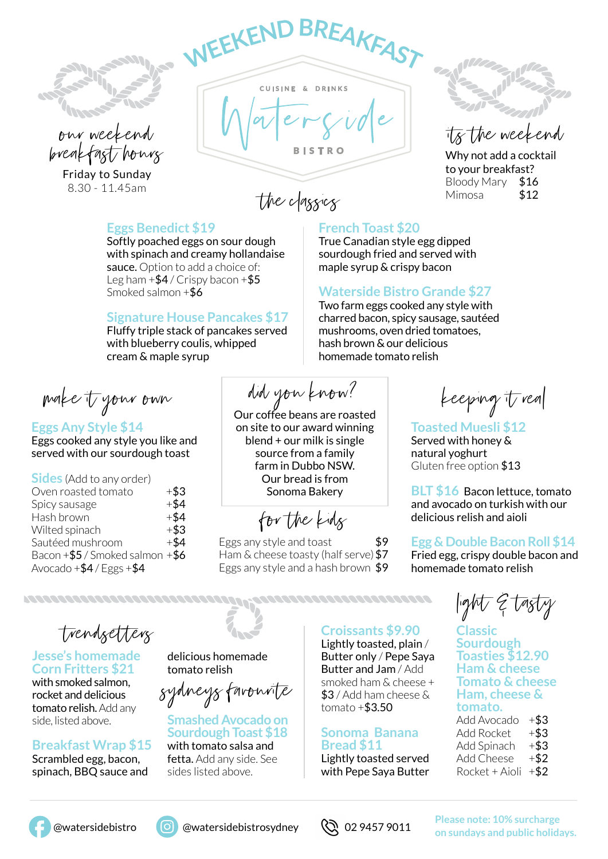



Friday to Sunday 8.30 - 11.45am

**<sup>W</sup>EEKENDBREAKFAS<sup>T</sup>** CUISINE & DRINKS

the classics Mimosa \$12

#### **Eggs Benedict \$19**

Softly poached eggs on sour dough with spinach and creamy hollandaise sauce. Option to add a choice of: Leg ham  $+$ \$4 / Crispy bacon  $+$ \$5 Smoked salmon +\$6

#### **Signature House Pancakes \$17**

Fluffy triple stack of pancakes served with blueberry coulis, whipped cream & maple syrup

make it your own

**Eggs Any Style \$14** Eggs cooked any style you like and served with our sourdough toast

**Sides** (Add to any order) Oven roasted tomato  $+ $3$ Spicy sausage  $+$ \$4 Hash brown  $+$ \$4 Wilted spinach  $+$ \$3 Sautéed mushroom  $+$ \$4 Bacon  $+$ \$5 / Smoked salmon  $+$ \$6 Avocado  $+$ \$4 / Eggs  $+$ \$4

did you know?

Our coffee beans are roasted on site to our award winning blend + our milk is single source from a family farm in Dubbo NSW. Our bread is from Sonoma Bakery

for the kids

 $E$ ggs any style and toast  $$9$ Ham & cheese toasty (half serve) \$7 Eggs any style and a hash brown \$9

its the weekend

Why not add a cocktail to your breakfast? Bloody Mary \$16

### **French Toast \$20**

True Canadian style egg dipped sourdough fried and served with maple syrup & crispy bacon

### **Waterside Bistro Grande \$27**

Two farm eggs cooked any style with charred bacon, spicy sausage, sautéed mushrooms, oven dried tomatoes, hash brown & our delicious homemade tomato relish

keeping it real

**Toasted Muesli \$12** Served with honey & natural yoghurt Gluten free option \$13

**BLT \$16** Bacon lettuce, tomato and avocado on turkish with our delicious relish and aioli

#### **Egg & Double Bacon Roll \$14**

Fried egg, crispy double bacon and homemade tomato relish

trendsetters

1222222222222222222222222222222222222

#### **Jesse's homemade Corn Fritters \$21**

with smoked salmon, rocket and delicious tomato relish. Add any side, listed above.

**Breakfast Wrap \$15** Scrambled egg, bacon, spinach, BBQ sauce and

delicious homemade tomato relish

sydneys favourite

**Smashed Avocado on Sourdough Toast \$18** with tomato salsa and fetta. Add any side. See

sides listed above.

**Croissants \$9.90**

Lightly toasted, plain / Butter only / Pepe Saya Butter and Jam / Add smoked ham & cheese + \$3 / Add ham cheese & tomato +\$3.50

#### **Sonoma Banana Bread \$11**

Lightly toasted served with Pepe Saya Butter

light & tasty

**Classic Sourdough Toasties \$12.90 Ham & cheese Tomato & cheese Ham, cheese & tomato.**  Add Avocado  $+ $3$ 

Add Rocket  $+$ \$3 Add Spinach  $+ $3$ Add Cheese  $+ $2$ Rocket + Aioli  $+$ \$2





 @watersidebistro @watersidebistrosydney **Please note: 10% surcharge on sundays and public holidays.**